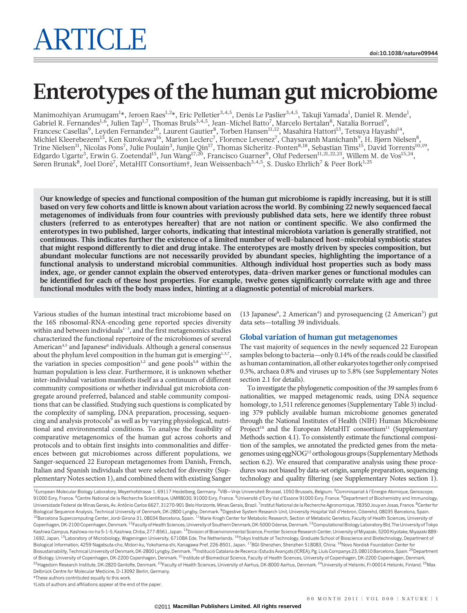# ARTICLE

# Enterotypes of the human gut microbiome

Manimozhiyan Arumugam<sup>1</sup>\*, Jeroen Raes<sup>1,2</sup>\*, Eric Pelletier<sup>3,4,5</sup>, Denis Le Paslier<sup>3,4,5</sup>, Takuji Yamada<sup>1</sup>, Daniel R. Mende<sup>1</sup>, Gabriel R. Fernandes $^{1,6}$ , Julien Tap $^{1,7}$ , Thomas Bruls $^{3,4,5}$ , Jean-Michel Batto $^7$ , Marcelo Bertalan $^8$ , Natalia Borruel $^9$ , Francesc Casellas<sup>9</sup>, Leyden Fernandez<sup>10</sup>, Laurent Gautier<sup>8</sup>, Torben Hansen<sup>11,12</sup>, Masahira Hattori<sup>13</sup>, Tetsuya Hayashi<sup>14</sup>, Michiel Kleerebezem $^{15}$ , Ken Kurokawa $^{16}$ , Marion Leclerc $^7$ , Florence Levenez $^7$ , Chaysavanh Manichanh $^9$ , H. Bjørn Nielsen $^8$ , Trine Nielsen $^{11}$ , Nicolas Pons $^7$ , Julie Poulain $^3$ , Junjie Qin $^{17}$ , Thomas Sicheritz-Ponten $^{8,18}$ , Sebastian Tims $^{15}$ , David Torrents $^{10,19},$ Edgardo Ugarte<sup>3</sup>, Erwin G. Zoetendal<sup>15</sup>, Jun Wang<sup>17,20</sup>, Francisco Guarner<sup>9</sup>, Oluf Pedersen<sup>11,21,22,23</sup>, Willem M. de Vos<sup>15,24</sup>, Søren Brunak $^8$ , Joel Doré $^7$ , MetaHIT Consortium $\dagger$ , Jean Weissenbach $^{3,4,5}$ , S. Dusko Ehrlich $^7$  & Peer Bork $^{1,25}$ 

Our knowledge of species and functional composition of the human gut microbiome is rapidly increasing, but it is still based on very few cohorts and little is known about variation across the world. By combining 22 newly sequenced faecal metagenomes of individuals from four countries with previously published data sets, here we identify three robust clusters (referred to as enterotypes hereafter) that are not nation or continent specific. We also confirmed the enterotypes in two published, larger cohorts, indicating that intestinal microbiota variation is generally stratified, not continuous. This indicates further the existence of a limited number of well-balanced host–microbial symbiotic states that might respond differently to diet and drug intake. The enterotypes are mostly driven by species composition, but abundant molecular functions are not necessarily provided by abundant species, highlighting the importance of a functional analysis to understand microbial communities. Although individual host properties such as body mass index, age, or gender cannot explain the observed enterotypes, data-driven marker genes or functional modules can be identified for each of these host properties. For example, twelve genes significantly correlate with age and three functional modules with the body mass index, hinting at a diagnostic potential of microbial markers.

Various studies of the human intestinal tract microbiome based on the 16S ribosomal-RNA-encoding gene reported species diversity within and between individuals<sup>1-3</sup>, and the first metagenomics studies characterized the functional repertoire of the microbiomes of several American<sup>4,5</sup> and Japanese<sup>6</sup> individuals. Although a general consensus about the phylum level composition in the human gut is emerging<sup>1,3,7</sup>, the variation in species composition<sup>1,2</sup> and gene pools<sup>5,8</sup> within the human population is less clear. Furthermore, it is unknown whether inter-individual variation manifests itself as a continuum of different community compositions or whether individual gut microbiota congregate around preferred, balanced and stable community compositions that can be classified. Studying such questions is complicated by the complexity of sampling, DNA preparation, processing, sequencing and analysis protocols<sup>9</sup> as well as by varying physiological, nutritional and environmental conditions. To analyse the feasibility of comparative metagenomics of the human gut across cohorts and protocols and to obtain first insights into commonalities and differences between gut microbiomes across different populations, we Sanger-sequenced 22 European metagenomes from Danish, French, Italian and Spanish individuals that were selected for diversity (Supplementary Notes section 1), and combined them with existing Sanger

(13 Japanese<sup>6</sup>, 2 American<sup>4</sup>) and pyrosequencing (2 American<sup>5</sup>) gut data sets—totalling 39 individuals.

## Global variation of human gut metagenomes

The vast majority of sequences in the newly sequenced 22 European samples belong to bacteria—only 0.14% of the reads could be classified as human contamination, all other eukaryotes together only comprised 0.5%, archaea 0.8% and viruses up to 5.8% (see Supplementary Notes section 2.1 for details).

To investigate the phylogenetic composition of the 39 samples from 6 nationalities, we mapped metagenomic reads, using DNA sequence homology, to 1,511 reference genomes (Supplementary Table 3) including 379 publicly available human microbiome genomes generated through the National Institutes of Health (NIH) Human Microbiome Project<sup>10</sup> and the European MetaHIT consortium<sup>11</sup> (Supplementary Methods section 4.1). To consistently estimate the functional composition of the samples, we annotated the predicted genes from the metagenomes using eggNOG<sup>12</sup> orthologous groups (Supplementary Methods section 6.2). We ensured that comparative analysis using these procedures was not biased by data-set origin, sample preparation, sequencing technology and quality filtering (see Supplementary Notes section 1).

<sup>1</sup>European Molecular Biology Laboratory, Meyerhofstrasse 1, 69117 Heidelberg, Germany. <sup>2</sup>VIB—Vrije Universiteit Brussel, 1050 Brussels, Belgium. <sup>3</sup>Commissariat à l'Energie Atomique, Genoscope, 91000 Evry, France. <sup>4</sup>Centre National de la Recherche Scientifique, UMR8030, 91000 Evry, France. <sup>5</sup>Université d'Evry Val d'Essone 91000 Evry, France. <sup>6</sup>Department of Biochemistry and Immunology Universidade Federal de Minas Gerais, Av. Antônio Carlos 6627, 31270-901 Belo Horizonte, Minas Gerais, Brazil. <sup>7</sup>Institut National de la Recherche Agronomique, 78350 Jouy en Josas, France. <sup>8</sup>Center for Biological Sequence Analysis, Technical University of Denmark, DK-2800 Lyngby, Denmark. <sup>9</sup>Digestive System Research Unit, University Hospital Vall d'Hebron, Ciberehd, 08035 Barcelona, Spain.<br><sup>10</sup>Barcelona Supercomputing C Copenhagen, DK-2100 Copenhagen, Denmark. <sup>12</sup>Faculty of Health Sciences, University of Southern Denmark, DK-5000 Odense, Denmark. <sup>13</sup>Computational Biology Laboratory Bld, The University of Tokyo Kashiwa Campus, Kashiwa-no-ha 5-1-5, Kashiwa, Chiba, 277-8561, Japan. <sup>14</sup>Division of Bioenvironmental Science, Frontier Science Research Center, University of Miyazaki, 5200 Kiyotake, Miyazaki 889-1692, Japan. <sup>15</sup>Laboratory of Microbiology, Wageningen University, 6710BA Ede, The Netherlands. <sup>16</sup>Tokyo Institute of Technology, Graduate School of Bioscience and Biotechnology, Department of Biological Information, 4259 Nagatsuta-cho, Midori-ku, Yokohama-shi, Kanagawa Pref. 226-8501, Japan. 17BGI-Shenzhen, Shenzhen 518083, China. 18Novo Nordisk Foundation Center for Biosustainability, Technical University of Denmark, DK-2800 Lyngby, Denmark. <sup>19</sup>Institució Catalana de Recerca i Estudis Avançats (ICREA), Pg. Lluís Companys 23, 08010 Barcelona, Spain. <sup>20</sup>Department of Biology, University of Copenhagen, DK-2200 Copenhagen, Denmark. 21Institute of Biomedical Science, Faculty of Health Sciences, University of Copenhagen, DK-2200 Copenhagen, Denmark.  $^{22}$ Hagedorn Research Institute, DK-2820 Gentofte, Denmark.  $^{23}$ Faculty of Health Sciences, University of Aarhus, DK-8000 Aarhus, Denmark.  $^{24}$ University of Helsinki, Fi-00014 Helsinki, Finland.  $^{25}$ Max Delbrück Centre for Molecular Medicine, D-13092 Berlin, Germany

\*These authors contributed equally to this work.

{Lists of authors and affiliations appear at the end of the paper.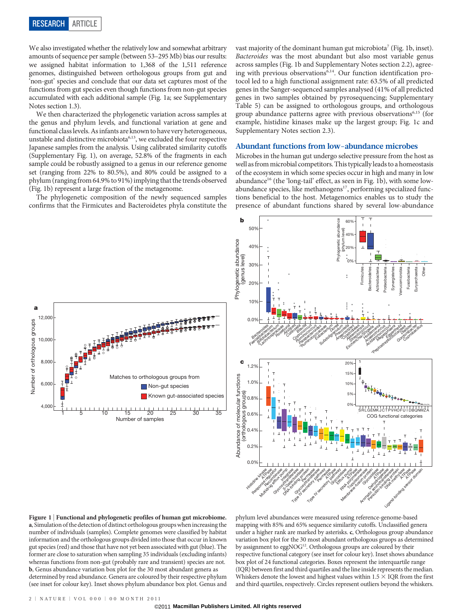We also investigated whether the relatively low and somewhat arbitrary amounts of sequence per sample (between 53–295 Mb) bias our results: we assigned habitat information to 1,368 of the 1,511 reference genomes, distinguished between orthologous groups from gut and 'non-gut' species and conclude that our data set captures most of the functions from gut species even though functions from non-gut species accumulated with each additional sample (Fig. 1a; see Supplementary Notes section 1.3).

We then characterized the phylogenetic variation across samples at the genus and phylum levels, and functional variation at gene and functional class levels. As infants are known to have very heterogeneous, unstable and distinctive microbiota<sup>6,13</sup>, we excluded the four respective Japanese samples from the analysis. Using calibrated similarity cutoffs (Supplementary Fig. 1), on average, 52.8% of the fragments in each sample could be robustly assigned to a genus in our reference genome set (ranging from 22% to 80.5%), and 80% could be assigned to a phylum (rangingfrom 64.9% to 91%) implying that the trends observed (Fig. 1b) represent a large fraction of the metagenome.

The phylogenetic composition of the newly sequenced samples confirms that the Firmicutes and Bacteroidetes phyla constitute the vast majority of the dominant human gut microbiota<sup>7</sup> (Fig. 1b, inset). Bacteroides was the most abundant but also most variable genus across samples (Fig. 1b and Supplementary Notes section 2.2), agreeing with previous observations<sup>6,14</sup>. Our function identification protocol led to a high functional assignment rate: 63.5% of all predicted genes in the Sanger-sequenced samples analysed (41% of all predicted genes in two samples obtained by pyrosequencing; Supplementary Table 5) can be assigned to orthologous groups, and orthologous group abundance patterns agree with previous observations $6,15$  (for example, histidine kinases make up the largest group; Fig. 1c and Supplementary Notes section 2.3).

#### Abundant functions from low-abundance microbes

Microbes in the human gut undergo selective pressure from the host as well as from microbial competitors. This typically leads to a homeostasis of the ecosystem in which some species occur in high and many in low abundance<sup>16</sup> (the 'long-tail' effect, as seen in Fig. 1b), with some lowabundance species, like methanogens $17$ , performing specialized functions beneficial to the host. Metagenomics enables us to study the presence of abundant functions shared by several low-abundance

60%



Phylogenetic abundance Phylogenetic abundance 50% <del>®</del><br>ቆ 40% (phylum level) Phylogenetic abundance<br>(genus level)  $\epsilon$ Phylogenetic abundance  $40%$  $\frac{5}{6}$ 209 (genus level) 0% 30% Firmicutes **Bacteroidetes** Actinobacteria Proteobacteria **Synergistetes** arrucomicrobia Verrucomicrobia Fusobacteria Fusobacteria Euryarchaeota **Euryarchaeota** Other **ctinobacteria** acteroidete oteobacteri Syneraistete 20%  $10<sub>9</sub>$ 0.0% \*Lachnospiraceae *Roseburia Alistipes Collinsella Blautia Coprococcus Ruminococcus Dorea* **ARANGOUSOUS ARANGOUSOR** *Faecalibacterium Bifidobacterium Bacteroides* Particule States and under<br>Parabacter Eubacterium<br>Paracterium<br>Particule States aseae<sub>riving</sub>rander<br>Prederividrander<br>Prevoligrander<br>Subdoligrander *Anaerostipes* rnalines arafaig<br>Josephannabals<br>20 Ruggenial IR Basherichia Rhighania<br>Escherichia Holdemania<br>Pusterptia Holdemania<br>Escherichia Holdemania<br>Escherichia Holdemania *Anaerotruncus Acidaminococcus Megasphaera* ellengelister<br>Gordonipacide aslisterchesillus<br>Jalisterchesillus<br>Coprobacillus **c** 20% 1.2% 15% Abundance of molecular functions Abundance of molecular functions 1.0%  $10<sup>°</sup>$ (orthologous groups) 5% 0.8% 0% SRLGEMKJCTPVHOFUIDB 0.6% COG functional categories 0.4% 0.2%  $0.0<sup>°</sup>$ Histoire kingspace Response regulator Multidre of California Recordered **Integrase Glycosyltrans Indiana**se Pura Protein Protein Type IV secretary pathway Glycosyltransferans Permease Type IV secretary pathway Permease Pi **ATPase** Glycosidase **Efflux Pump ATPase** Membrane-fusion protein Topolsomerase Aromatic aminotransferansier<br>Penicillin-binding proteins proteins proteins and Glycosidase Dehydrogenas **ATPase** Liganda Binding sensor domains sensor domains sensor domains sensor domains sensor domains sensor domains sens<br>Contra comparativa domains sensor domains sensor domains sensor domains sensor domains sensor domains sensor d DNA methylase **ARAN PRAS** 

Figure 1 | Functional and phylogenetic profiles of human gut microbiome. a, Simulation of the detection of distinct orthologous groups when increasing the number of individuals (samples). Complete genomes were classified by habitat information and the orthologous groups divided into those that occur in known gut species (red) and those that have not yet been associated with gut (blue). The former are close to saturation when sampling 35 individuals (excluding infants) whereas functions from non-gut (probably rare and transient) species are not. b, Genus abundance variation box plot for the 30 most abundant genera as determined by read abundance. Genera are coloured by their respective phylum (see inset for colour key). Inset shows phylum abundance box plot. Genus and

phylum level abundances were measured using reference-genome-based mapping with 85% and 65% sequence similarity cutoffs. Unclassified genera under a higher rank are marked by asterisks. c, Orthologous group abundance variation box plot for the 30 most abundant orthologous gruops as determined by assignment to egg $NOG^{12}$ . Orthologous groups are coloured by their respective functional category (see inset for colour key). Inset shows abundance box plot of 24 functional categories. Boxes represent the interquartile range (IQR) between first and third quartiles and the line inside represents the median. Whiskers denote the lowest and highest values within  $1.5 \times$  IQR from the first and third quartiles, respectively. Circles represent outliers beyond the whiskers.

**b**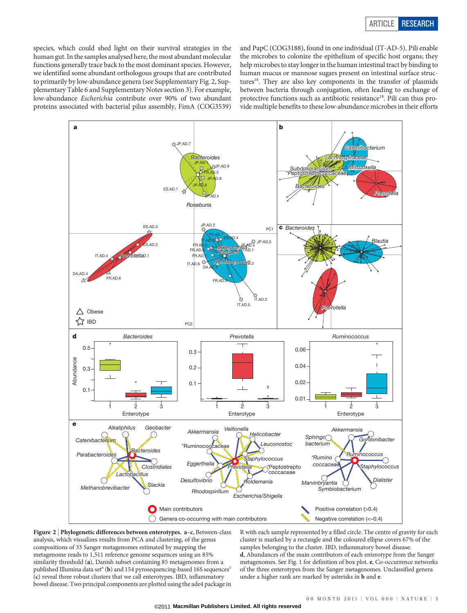

species, which could shed light on their survival strategies in the human gut. In the samples analysed here, the most abundant molecular functions generally trace back to the most dominant species. However, we identified some abundant orthologous groups that are contributed to primarily by low-abundance genera (see Supplementary Fig. 2, Supplementary Table 6 and Supplementary Notes section 3). For example, low-abundance Escherichia contribute over 90% of two abundant proteins associated with bacterial pilus assembly, FimA (COG3539)

and PapC (COG3188), found in one individual (IT-AD-5). Pili enable the microbes to colonize the epithelium of specific host organs; they help microbes to stay longer in the human intestinal tract by binding to human mucus or mannose sugars present on intestinal surface structures<sup>18</sup>. They are also key components in the transfer of plasmids between bacteria through conjugation, often leading to exchange of protective functions such as antibiotic resistance<sup>18</sup>. Pili can thus provide multiple benefits to these low-abundance microbes in their efforts



Figure 2 <sup>|</sup> Phylogenetic differences between enterotypes. a–c, Between-class analysis, which visualizes results from PCA and clustering, of the genus compositions of 33 Sanger metagenomes estimated by mapping the metagenome reads to 1,511 reference genome sequences using an 85% similarity threshold (a), Danish subset containing 85 metagenomes from a published Illumina data set<sup>8</sup> (b) and 154 pyrosequencing-based 16S sequences<sup>5</sup> (c) reveal three robust clusters that we call enterotypes. IBD, inflammatory bowel disease. Two principal components are plotted using the ade4 package in

R with each sample represented by a filled circle. The centre of gravity for each cluster is marked by a rectangle and the coloured ellipse covers 67% of the samples belonging to the cluster. IBD, inflammatory bowel disease. d, Abundances of the main contributors of each enterotype from the Sanger metagenomes. See Fig. 1 for definition of box plot. e, Co-occurrence networks of the three enterotypes from the Sanger metagenomes. Unclassified genera under a higher rank are marked by asterisks in b and e.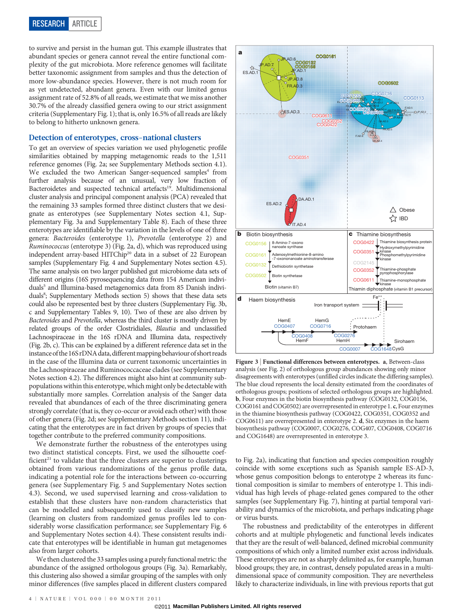to survive and persist in the human gut. This example illustrates that abundant species or genera cannot reveal the entire functional complexity of the gut microbiota. More reference genomes will facilitate better taxonomic assignment from samples and thus the detection of more low-abundance species. However, there is not much room for as yet undetected, abundant genera. Even with our limited genus assignment rate of 52.8% of all reads, we estimate that we miss another 30.7% of the already classified genera owing to our strict assignment criteria (Supplementary Fig. 1); that is, only 16.5% of all reads are likely to belong to hitherto unknown genera.

#### Detection of enterotypes, cross-national clusters

To get an overview of species variation we used phylogenetic profile similarities obtained by mapping metagenomic reads to the 1,511 reference genomes (Fig. 2a; see Supplementary Methods section 4.1). We excluded the two American Sanger-sequenced samples<sup>4</sup> from further analysis because of an unusual, very low fraction of Bacteroidetes and suspected technical artefacts<sup>19</sup>. Multidimensional cluster analysis and principal component analysis (PCA) revealed that the remaining 33 samples formed three distinct clusters that we designate as enterotypes (see Supplementary Notes section 4.1, Supplementary Fig. 3a and Supplementary Table 8). Each of these three enterotypes are identifiable by the variation in the levels of one of three genera: Bacteroides (enterotype 1), Prevotella (enterotype 2) and Ruminococcus (enterotype 3) (Fig. 2a, d), which was reproduced using independent array-based HITChip<sup>20</sup> data in a subset of 22 European samples (Supplementary Fig. 4 and Supplementary Notes section 4.5). The same analysis on two larger published gut microbiome data sets of different origins (16S pyrosequencing data from 154 American individuals<sup>5</sup> and Illumina-based metagenomics data from 85 Danish individuals<sup>8</sup>; Supplementary Methods section 5) shows that these data sets could also be represented best by three clusters (Supplementary Fig. 3b, c and Supplementary Tables 9, 10). Two of these are also driven by Bacteroides and Prevotella, whereas the third cluster is mostly driven by related groups of the order Clostridiales, Blautia and unclassified Lachnospiraceae in the 16S rDNA and Illumina data, respectively (Fig. 2b, c). This can be explained by a different reference data set in the instance of the 16S rDNA data, different mapping behaviour of short reads in the case of the Illumina data or current taxonomic uncertainties in the Lachnospiraceae and Ruminococcaceae clades (see Supplementary Notes section 4.2). The differences might also hint at community subpopulations within this enterotype, which might only be detectable with substantially more samples. Correlation analysis of the Sanger data revealed that abundances of each of the three discriminating genera strongly correlate (that is, they co-occur or avoid each other) with those of other genera (Fig. 2d; see Supplementary Methods section 11), indicating that the enterotypes are in fact driven by groups of species that together contribute to the preferred community compositions.

We demonstrate further the robustness of the enterotypes using two distinct statistical concepts. First, we used the silhouette coefficient $21$  to validate that the three clusters are superior to clusterings obtained from various randomizations of the genus profile data, indicating a potential role for the interactions between co-occurring genera (see Supplementary Fig. 5 and Supplementary Notes section 4.3). Second, we used supervised learning and cross-validation to establish that these clusters have non-random characteristics that can be modelled and subsequently used to classify new samples (learning on clusters from randomized genus profiles led to considerably worse classification performance; see Supplementary Fig. 6 and Supplementary Notes section 4.4). These consistent results indicate that enterotypes will be identifiable in human gut metagenomes also from larger cohorts.

We then clustered the 33 samples using a purely functional metric: the abundance of the assigned orthologous groups (Fig. 3a). Remarkably, this clustering also showed a similar grouping of the samples with only minor differences (five samples placed in different clusters compared



Figure 3 <sup>|</sup> Functional differences between enterotypes. a, Between-class analysis (see Fig. 2) of orthologous group abundances showing only minor disagreements with enterotypes (unfilled circles indicate the differing samples). The blue cloud represents the local density estimated from the coordinates of orthologous groups; positions of selected orthologous groups are highlighted. b, Four enzymes in the biotin biosynthesis pathway (COG0132, COG0156, COG0161 and COG0502) are overrepresented in enterotype 1. c, Four enzymes in the thiamine biosynthesis pathway (COG0422, COG0351, COG0352 and COG0611) are overrepresented in enterotype 2. d, Six enzymes in the haem biosynthesis pathway (COG0007, COG0276, COG407, COG0408, COG0716 and COG1648) are overrepresented in enterotype 3.

to Fig. 2a), indicating that function and species composition roughly coincide with some exceptions such as Spanish sample ES-AD-3, whose genus composition belongs to enterotype 2 whereas its functional composition is similar to members of enterotype 1. This individual has high levels of phage-related genes compared to the other samples (see Supplementary Fig. 7), hinting at partial temporal variability and dynamics of the microbiota, and perhaps indicating phage or virus bursts.

The robustness and predictability of the enterotypes in different cohorts and at multiple phylogenetic and functional levels indicates that they are the result of well-balanced, defined microbial community compositions of which only a limited number exist across individuals. These enterotypes are not as sharply delimited as, for example, human blood groups; they are, in contrast, densely populated areas in a multidimensional space of community composition. They are nevertheless likely to characterize individuals, in line with previous reports that gut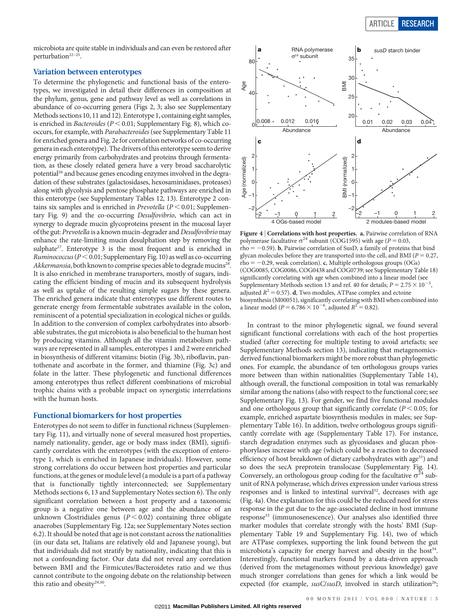microbiota are quite stable in individuals and can even be restored after perturbation<sup>22-25</sup>.

#### Variation between enterotypes

To determine the phylogenetic and functional basis of the enterotypes, we investigated in detail their differences in composition at the phylum, genus, gene and pathway level as well as correlations in abundance of co-occurring genera (Figs 2, 3; also see Supplementary Methods sections 10, 11 and 12). Enterotype 1, containing eight samples, is enriched in *Bacteroides* ( $P < 0.01$ ; Supplementary Fig. 8), which cooccurs, for example, with Parabacteroides (see Supplementary Table 11 for enriched genera and Fig. 2e for correlation networks of co-occurring genera in each enterotype). The drivers of this enterotype seem to derive energy primarily from carbohydrates and proteins through fermentation, as these closely related genera have a very broad saccharolytic potential<sup>26</sup> and because genes encoding enzymes involved in the degradation of these substrates (galactosidases, hexosaminidases, proteases) along with glycolysis and pentose phosphate pathways are enriched in this enterotype (see Supplementary Tables 12, 13). Enterotype 2 contains six samples and is enriched in *Prevotella* ( $P < 0.01$ ; Supplementary Fig. 9) and the co-occurring Desulfovibrio, which can act in synergy to degrade mucin glycoproteins present in the mucosal layer of the gut: Prevotella is a known mucin-degrader and Desulfovibrio may enhance the rate-limiting mucin desulphation step by removing the sulphate<sup>27</sup>. Enterotype 3 is the most frequent and is enriched in Ruminococcus ( $P < 0.01$ ; Supplementary Fig. 10) as well as co-occurring Akkermansia, both known to comprise species able to degrade mucins<sup>28</sup>. It is also enriched in membrane transporters, mostly of sugars, indicating the efficient binding of mucin and its subsequent hydrolysis as well as uptake of the resulting simple sugars by these genera. The enriched genera indicate that enterotypes use different routes to generate energy from fermentable substrates available in the colon, reminiscent of a potential specialization in ecological niches or guilds. In addition to the conversion of complex carbohydrates into absorbable substrates, the gut microbiota is also beneficial to the human host by producing vitamins. Although all the vitamin metabolism pathways are represented in all samples, enterotypes 1 and 2 were enriched in biosynthesis of different vitamins: biotin (Fig. 3b), riboflavin, pantothenate and ascorbate in the former, and thiamine (Fig. 3c) and folate in the latter. These phylogenetic and functional differences among enterotypes thus reflect different combinations of microbial trophic chains with a probable impact on synergistic interrelations with the human hosts.

## Functional biomarkers for host properties

Enterotypes do not seem to differ in functional richness (Supplementary Fig. 11), and virtually none of several measured host properties, namely nationality, gender, age or body mass index (BMI), significantly correlates with the enterotypes (with the exception of enterotype 1, which is enriched in Japanese individuals). However, some strong correlations do occur between host properties and particular functions, at the genes or module level (a module is a part of a pathway that is functionally tightly interconnected; see Supplementary Methods sections 6, 13 and Supplementary Notes section 6). The only significant correlation between a host property and a taxonomic group is a negative one between age and the abundance of an unknown Clostridiales genus ( $P < 0.02$ ) containing three obligate anaerobes (Supplementary Fig. 12a; see Supplementary Notes section 6.2). It should be noted that age is not constant across the nationalities (in our data set, Italians are relatively old and Japanese young), but that individuals did not stratify by nationality, indicating that this is not a confounding factor. Our data did not reveal any correlation between BMI and the Firmicutes/Bacteroidetes ratio and we thus cannot contribute to the ongoing debate on the relationship between this ratio and obesity<sup>29,30</sup>.



**Figure 4** | **Correlations with host properties. a**, Pairwise correlation of RNA polymerase facultative  $\sigma^{24}$  subunit (COG1595) with age (*P* = 0.03,  $rho = -0.59$ ). **b**, Pairwise correlation of SusD, a family of proteins that bind glycan molecules before they are transported into the cell, and BMI ( $P = 0.27$ ,  $rho = -0.29$ , weak correlation). c, Multiple orthologous groups (OGs) (COG0085, COG0086, COG0438 and COG0739; see Supplementary Table 18) significantly correlating with age when combined into a linear model (see Supplementary Methods section 13 and ref. 40 for details;  $P = 2.75 \times 10^{-5}$ , adjusted  $R^2 = 0.57$ ). d, Two modules, ATPase complex and ectoine biosynthesis (M00051), significantly correlating with BMI when combined into a linear model ( $P = 6.786 \times 10^{-6}$ , adjusted  $R^2 = 0.82$ ).

In contrast to the minor phylogenetic signal, we found several significant functional correlations with each of the host properties studied (after correcting for multiple testing to avoid artefacts; see Supplementary Methods section 13), indicating that metagenomicsderived functional biomarkers might be more robust than phylogenetic ones. For example, the abundance of ten orthologous groups varies more between than within nationalities (Supplementary Table 14), although overall, the functional composition in total was remarkably similar among the nations (also with respect to the functional core; see Supplementary Fig. 13). For gender, we find five functional modules and one orthologous group that significantly correlate ( $P < 0.05$ ; for example, enriched aspartate biosynthesis modules in males; see Supplementary Table 16). In addition, twelve orthologous groups significantly correlate with age (Supplementary Table 17). For instance, starch degradation enzymes such as glycosidases and glucan phosphorylases increase with age (which could be a reaction to decreased efficiency of host breakdown of dietary carbohydrates with age<sup>31</sup>) and so does the secA preprotein translocase (Supplementary Fig. 14). Conversely, an orthologous group coding for the facultative  $\sigma^{24}$  subunit of RNA polymerase, which drives expression under various stress responses and is linked to intestinal survival<sup>32</sup>, decreases with age (Fig. 4a). One explanation for this could be the reduced need for stress response in the gut due to the age-associated decline in host immune response<sup>33</sup> (immunosenescence). Our analyses also identified three marker modules that correlate strongly with the hosts' BMI (Supplementary Table 19 and Supplementary Fig. 14), two of which are ATPase complexes, supporting the link found between the gut microbiota's capacity for energy harvest and obesity in the host<sup>34</sup>. Interestingly, functional markers found by a data-driven approach (derived from the metagenomes without previous knowledge) gave much stronger correlations than genes for which a link would be expected (for example,  $susC/susD$ , involved in starch utilization<sup>26</sup>;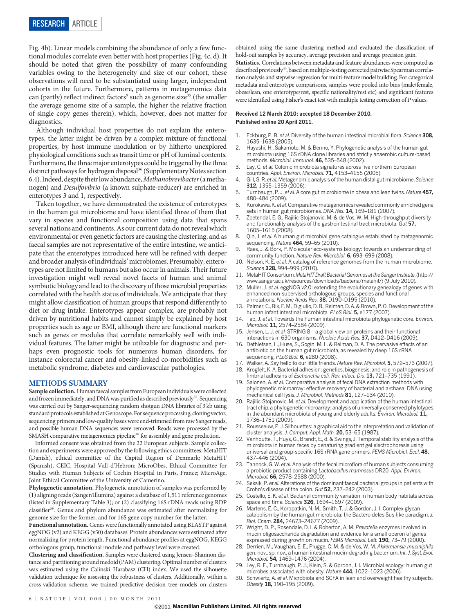Fig. 4b). Linear models combining the abundance of only a few functional modules correlate even better with host properties (Fig. 4c, d). It should be noted that given the possibility of many confounding variables owing to the heterogeneity and size of our cohort, these observations will need to be substantiated using larger, independent cohorts in the future. Furthermore, patterns in metagenomics data can (partly) reflect indirect factors<sup>9</sup> such as genome size<sup>35</sup> (the smaller the average genome size of a sample, the higher the relative fraction of single copy genes therein), which, however, does not matter for diagnostics.

Although individual host properties do not explain the enterotypes, the latter might be driven by a complex mixture of functional properties, by host immune modulation or by hitherto unexplored physiological conditions such as transit time or pH of luminal contents. Furthermore, the three major enterotypes could be triggered by the three distinct pathways for hydrogen disposal<sup>36</sup> (Supplementary Notes section 6.4). Indeed, despite their low abundance,Methanobrevibacter(a methanogen) and Desulfovibrio (a known sulphate-reducer) are enriched in enterotypes 3 and 1, respectively.

Taken together, we have demonstrated the existence of enterotypes in the human gut microbiome and have identified three of them that vary in species and functional composition using data that spans several nations and continents. As our current data do not reveal which environmental or even genetic factors are causing the clustering, and as faecal samples are not representative of the entire intestine, we anticipate that the enterotypes introduced here will be refined with deeper and broader analysis of individuals' microbiomes. Presumably, enterotypes are not limited to humans but also occur in animals. Their future investigation might well reveal novel facets of human and animal symbiotic biology and lead to the discovery of those microbial properties correlated with the health status of individuals. We anticipate that they might allow classification of human groups that respond differently to diet or drug intake. Enterotypes appear complex, are probably not driven by nutritional habits and cannot simply be explained by host properties such as age or BMI, although there are functional markers such as genes or modules that correlate remarkably well with individual features. The latter might be utilizable for diagnostic and perhaps even prognostic tools for numerous human disorders, for instance colorectal cancer and obesity-linked co-morbidities such as metabolic syndrome, diabetes and cardiovascular pathologies.

#### METHODS SUMMARY

Sample collection. Human faecal samples from European individuals were collected and frozen immediately, and DNA was purified as described previously<sup>37</sup>. Sequencing was carried out by Sanger-sequencing random shotgun DNA libraries of 3 kb using standard protocols established at Genoscope. For sequence processing, cloning vector, sequencing primers and low-quality bases were end-trimmed from raw Sanger reads, and possible human DNA sequences were removed. Reads were processed by the  $\mathop{\mathrm{SMASH}}$  comparative metagenomics pipeline $^{38}$  for assembly and gene prediction.

Informed consent was obtained from the 22 European subjects. Sample collection and experiments were approved by the following ethics committees: MetaHIT (Danish), ethical committee of the Capital Region of Denmark; MetaHIT (Spanish), CEIC, Hospital Vall d'Hebron; MicroObes, Ethical Committee for Studies with Human Subjects of Cochin Hospital in Paris, France; MicroAge, Joint Ethical Committee of the University of Camerino.

Phylogenetic annotation. Phylogenetic annotation of samples was performed by (1) aligning reads (Sanger/Illumina) against a database of 1,511 reference genomes (listed in Supplementary Table 3); or (2) classifying 16S rDNA reads using RDP classifier<sup>39</sup>. Genus and phylum abundance was estimated after normalizing for genome size for the former, and for 16S gene copy number for the latter.

Functional annotation. Genes were functionally annotated using BLASTP against eggNOG (v2) and KEGG (v50) databases. Protein abundances were estimated after normalizing for protein length. Functional abundance profiles at eggNOG, KEGG orthologous group, functional module and pathway level were created.

Clustering and classification. Samples were clustered using Jensen–Shannon distance and partitioning around medoid (PAM) clustering. Optimal number of clusters was estimated using the Calinski–Harabasz (CH) index. We used the silhouette validation technique for assessing the robustness of clusters. Additionally, within a cross-validation scheme, we trained predictive decision tree models on clusters

obtained using the same clustering method and evaluated the classification of hold-out samples by accuracy, average precision and average precision gain. Statistics. Correlations between metadata and feature abundances were computed as described previously<sup>40</sup>, based on multiple-testing corrected pairwise Spearman correlation analysis and stepwise regression for multi-feature model building. For categorical metadata and enterotype comparisons, samples were pooled into bins (male/female, obese/lean, one enterotype/rest, specific nationality/rest etc) and significant features were identified using Fisher's exact test with multiple testing correction of P values.

#### Received 12 March 2010; accepted 18 December 2010. Published online 20 April 2011.

- 1. Eckburg, P. B. et al. Diversity of the human intestinal microbial flora. Science 308, 1635–1638 (2005).
- 2. Hayashi, H., Sakamoto, M. & Benno, Y. Phylogenetic analysis of the human gut microbiota using 16S rDNA clone libraries and strictly anaerobic culture-based methods. Microbiol. Immunol. 46, 535–548 (2002).
- Lay, C. et al. Colonic microbiota signatures across five northern European countries. Appl. Environ. Microbiol. 71, 4153–4155 (2005).
- 4. Gill, S. R. et al. Metagenomic analysis of the human distal gut microbiome. Science 312, 1355–1359 (2006).
- 5. Turnbaugh, P. J. et al. A core gut microbiome in obese and lean twins. Nature 457, 480–484 (2009).
- 6. Kurokawa, K. et al. Comparativemetagenomics revealed commonly enriched gene sets in human gut microbiomes. DNA Res. 14, 169–181 (2007).
- 7. Zoetendal, E. G., Rajilic-Stojanovic, M. & de Vos, W. M. High-throughput diversity and functionality analysis of the gastrointestinal tract microbiota. Gut 57, 1605–1615 (2008).
- 8. Qin, J. et al. A human gut microbial gene catalogue established by metagenomic sequencing. Nature **464**, 59-65 (2010).
- Raes, J. & Bork, P. Molecular eco-systems biology: towards an understanding of community function. Nature Rev. Microbiol. 6, 693–699 (2008).
- 10. Nelson, K. E. et al. A catalog of reference genomes from the human microbiome. Science **328**, 994–999 (2010).
- 11. MetaHIT Consortium. MetaHIT Draft Bacterial Genomes at the Sanger Institute. ([http://](http://www.sanger.ac.uk/resources/downloads/bacteria/metahit) [www.sanger.ac.uk/resources/downloads/bacteria/metahit/](http://www.sanger.ac.uk/resources/downloads/bacteria/metahit)) (9 July 2010)
- 12. Muller, J. et al. eggNOG v2.0: extending the evolutionary genealogy of genes with enhanced non-supervised orthologous groups, species and functional annotations. Nucleic Acids Res. 38, D190–D195 (2010).
- 13. Palmer, C., Bik, E. M., Digiulio, D. B., Relman, D. A. & Brown, P. O. Development of the human infant intestinal microbiota. PLoS Biol. 5, e177 (2007).
- 14. Tap, J. et al. Towards the human intestinal microbiota phylogenetic core. Environ. Microbiol. 11, 2574–2584 (2009).
- 15. Jensen, L. J. et al. STRING 8—a global view on proteins and their functional interactions in 630 organisms. Nucleic Acids Res. 37, D412–D416 (2009).
- 16. Dethlefsen, L., Huse, S., Sogin, M. L. & Relman, D. A. The pervasive effects of an antibiotic on the human gut microbiota, as revealed by deep 16S rRNA sequencing. PLoS Biol. 6, e280 (2008).
- 17. Walker, A. Say hello to our little friends. Nature Rev. Microbiol. 5, 572-573 (2007)
- 18. Krogfelt, K. A. Bacterial adhesion: genetics, biogenesis, and role in pathogenesis of
- fimbrial adhesins of Escherichia coli. Rev. Infect. Dis. 13, 721-735 (1991). Salonen, A. et al. Comparative analysis of fecal DNA extraction methods with
- phylogenetic microarray: effective recovery of bacterial and archaeal DNA using mechanical cell lysis. J. Microbiol. Methods 81, 127–134 (2010).
- 20. Rajilic-Stojanovic, M. et al. Development and application of the human intestinal tract chip, a phylogeneticmicroarray: analysis of universally conserved phylotypes in the abundant microbiota of young and elderly adults. Environ. Microbiol. 11, 1736–1751 (2009).
- 21. Rousseeuw, P. J. Silhouettes: a graphical aid to the interpretation and validation of cluster analysis. J. Comput. Appl. Math. 20, 53-65 (1987).
- 22. Vanhoutte, T., Huys, G., Brandt, E., d. & Swings, J. Temporal stability analysis of the microbiota in human feces by denaturing gradient gel electrophoresis using universal and group-specific 16S rRNA gene primers. FEMS Microbiol. Ecol. 48, 437–446 (2004).
- 23. Tannock, G. W. et al. Analysis of the fecal microflora of human subjects consuming a probiotic product containing Lactobacillus rhamnosus DR20. Appl. Environ. Microbiol. 66, 2578–2588 (2000).
- Seksik, P. et al. Alterations of the dominant faecal bacterial groups in patients with Crohn's disease of the colon. Gut 52, 237–242 (2003).
- 25. Costello, E. K. et al. Bacterial community variation in human body habitats across space and time. Science 326, 1694-1697 (2009).
- 26. Martens, E. C., Koropatkin, N. M., Smith, T. J. & Gordon, J. I. Complex glycan catabolism by the human gut microbiota: the Bacteroidetes Sus-like paradigm. J. Biol. Chem. 284, 24673–24677 (2009).
- 27. Wright, D. P., Rosendale, D. I. & Roberton, A. M. Prevotella enzymes involved in mucin oligosaccharide degradation and evidence for a small operon of genes expressed during growth on mucin. FEMS Microbiol. Lett. 190, 73-79 (2000).
- Derrien, M., Vaughan, E. E., Plugge, C. M. & de Vos, W. M. Akkermansia muciniphila gen. nov., sp. nov., a human intestinal mucin-degrading bacterium. Int. J. Syst. Evol. Microbiol. 54, 1469-1476 (2004).
- Ley, R. E., Turnbaugh, P. J., Klein, S. & Gordon, J. I. Microbial ecology: human gut microbes associated with obesity. Nature 444, 1022-1023 (2006)
- Schwiertz, A. et al. Microbiota and SCFA in lean and overweight healthy subjects. Obesity 18, 190–195 (2009).